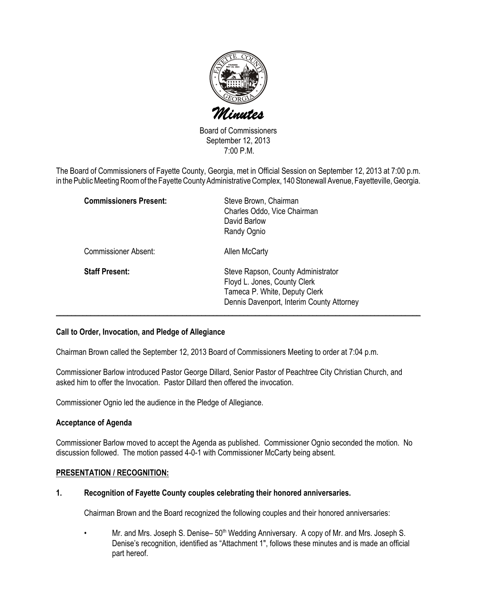

Board of Commissioners September 12, 2013 7:00 P.M.

The Board of Commissioners of Fayette County, Georgia, met in Official Session on September 12, 2013 at 7:00 p.m. in the Public Meeting Room of the Fayette County Administrative Complex, 140 Stonewall Avenue, Fayetteville, Georgia.

| <b>Commissioners Present:</b> | Steve Brown, Chairman<br>Charles Oddo, Vice Chairman<br>David Barlow<br>Randy Ognio                                                              |
|-------------------------------|--------------------------------------------------------------------------------------------------------------------------------------------------|
| Commissioner Absent:          | Allen McCarty                                                                                                                                    |
| <b>Staff Present:</b>         | Steve Rapson, County Administrator<br>Floyd L. Jones, County Clerk<br>Tameca P. White, Deputy Clerk<br>Dennis Davenport, Interim County Attorney |

### Call to Order, Invocation, and Pledge of Allegiance

Chairman Brown called the September 12, 2013 Board of Commissioners Meeting to order at 7:04 p.m.

Commissioner Barlow introduced Pastor George Dillard, Senior Pastor of Peachtree City Christian Church, and asked him to offer the Invocation. Pastor Dillard then offered the invocation.

Commissioner Ognio led the audience in the Pledge of Allegiance.

### Acceptance of Agenda

Commissioner Barlow moved to accept the Agenda as published. Commissioner Ognio seconded the motion. No discussion followed. The motion passed 4-0-1 with Commissioner McCarty being absent.

### PRESENTATION / RECOGNITION:

### 1. Recognition of Fayette County couples celebrating their honored anniversaries.

Chairman Brown and the Board recognized the following couples and their honored anniversaries:

Mr. and Mrs. Joseph S. Denise– 50<sup>th</sup> Wedding Anniversary. A copy of Mr. and Mrs. Joseph S. Denise's recognition, identified as "Attachment 1", follows these minutes and is made an official part hereof.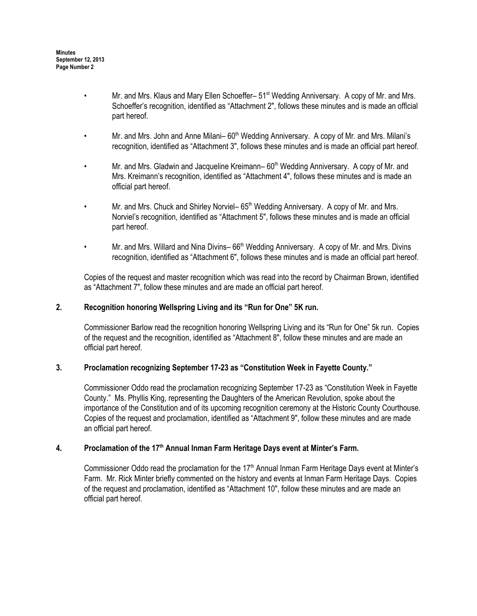- Mr. and Mrs. Klaus and Mary Ellen Schoeffer–  $51<sup>st</sup>$  Wedding Anniversary. A copy of Mr. and Mrs. Schoeffer's recognition, identified as "Attachment 2", follows these minutes and is made an official part hereof.
- Mr. and Mrs. John and Anne Milani– 60<sup>th</sup> Wedding Anniversary. A copy of Mr. and Mrs. Milani's recognition, identified as "Attachment 3", follows these minutes and is made an official part hereof.
- Mr. and Mrs. Gladwin and Jacqueline Kreimann– 60<sup>th</sup> Wedding Anniversary. A copy of Mr. and Mrs. Kreimann's recognition, identified as "Attachment 4", follows these minutes and is made an official part hereof.
- Mr. and Mrs. Chuck and Shirley Norviel– 65<sup>th</sup> Wedding Anniversary. A copy of Mr. and Mrs. Norviel's recognition, identified as "Attachment 5", follows these minutes and is made an official part hereof.
- Mr. and Mrs. Willard and Nina Divins– 66<sup>th</sup> Wedding Anniversary. A copy of Mr. and Mrs. Divins recognition, identified as "Attachment 6", follows these minutes and is made an official part hereof.

Copies of the request and master recognition which was read into the record by Chairman Brown, identified as "Attachment 7", follow these minutes and are made an official part hereof.

## 2. Recognition honoring Wellspring Living and its "Run for One" 5K run.

Commissioner Barlow read the recognition honoring Wellspring Living and its "Run for One" 5k run. Copies of the request and the recognition, identified as "Attachment 8", follow these minutes and are made an official part hereof.

### 3. Proclamation recognizing September 17-23 as "Constitution Week in Fayette County."

Commissioner Oddo read the proclamation recognizing September 17-23 as "Constitution Week in Fayette County." Ms. Phyllis King, representing the Daughters of the American Revolution, spoke about the importance of the Constitution and of its upcoming recognition ceremony at the Historic County Courthouse. Copies of the request and proclamation, identified as "Attachment 9", follow these minutes and are made an official part hereof.

### 4. Proclamation of the 17<sup>th</sup> Annual Inman Farm Heritage Days event at Minter's Farm.

Commissioner Oddo read the proclamation for the 17<sup>th</sup> Annual Inman Farm Heritage Days event at Minter's Farm. Mr. Rick Minter briefly commented on the history and events at Inman Farm Heritage Days. Copies of the request and proclamation, identified as "Attachment 10", follow these minutes and are made an official part hereof.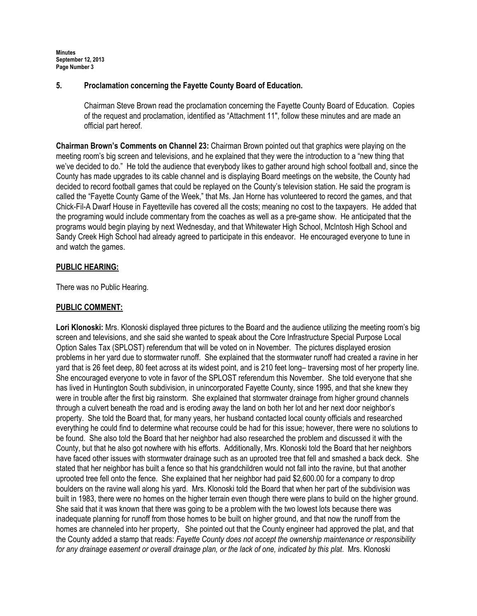## 5. Proclamation concerning the Fayette County Board of Education.

Chairman Steve Brown read the proclamation concerning the Fayette County Board of Education. Copies of the request and proclamation, identified as "Attachment 11", follow these minutes and are made an official part hereof.

Chairman Brown's Comments on Channel 23: Chairman Brown pointed out that graphics were playing on the meeting room's big screen and televisions, and he explained that they were the introduction to a "new thing that we've decided to do." He told the audience that everybody likes to gather around high school football and, since the County has made upgrades to its cable channel and is displaying Board meetings on the website, the County had decided to record football games that could be replayed on the County's television station. He said the program is called the "Fayette County Game of the Week," that Ms. Jan Horne has volunteered to record the games, and that Chick-Fil-A Dwarf House in Fayetteville has covered all the costs; meaning no cost to the taxpayers. He added that the programing would include commentary from the coaches as well as a pre-game show. He anticipated that the programs would begin playing by next Wednesday, and that Whitewater High School, McIntosh High School and Sandy Creek High School had already agreed to participate in this endeavor. He encouraged everyone to tune in and watch the games.

### PUBLIC HEARING:

There was no Public Hearing.

## PUBLIC COMMENT:

Lori Klonoski: Mrs. Klonoski displayed three pictures to the Board and the audience utilizing the meeting room's big screen and televisions, and she said she wanted to speak about the Core Infrastructure Special Purpose Local Option Sales Tax (SPLOST) referendum that will be voted on in November. The pictures displayed erosion problems in her yard due to stormwater runoff. She explained that the stormwater runoff had created a ravine in her yard that is 26 feet deep, 80 feet across at its widest point, and is 210 feet long– traversing most of her property line. She encouraged everyone to vote in favor of the SPLOST referendum this November. She told everyone that she has lived in Huntington South subdivision, in unincorporated Fayette County, since 1995, and that she knew they were in trouble after the first big rainstorm. She explained that stormwater drainage from higher ground channels through a culvert beneath the road and is eroding away the land on both her lot and her next door neighbor's property. She told the Board that, for many years, her husband contacted local county officials and researched everything he could find to determine what recourse could be had for this issue; however, there were no solutions to be found. She also told the Board that her neighbor had also researched the problem and discussed it with the County, but that he also got nowhere with his efforts. Additionally, Mrs. Klonoski told the Board that her neighbors have faced other issues with stormwater drainage such as an uprooted tree that fell and smashed a back deck. She stated that her neighbor has built a fence so that his grandchildren would not fall into the ravine, but that another uprooted tree fell onto the fence. She explained that her neighbor had paid \$2,600.00 for a company to drop boulders on the ravine wall along his yard. Mrs. Klonoski told the Board that when her part of the subdivision was built in 1983, there were no homes on the higher terrain even though there were plans to build on the higher ground. She said that it was known that there was going to be a problem with the two lowest lots because there was inadequate planning for runoff from those homes to be built on higher ground, and that now the runoff from the homes are channeled into her property, She pointed out that the County engineer had approved the plat, and that the County added a stamp that reads: Fayette County does not accept the ownership maintenance or responsibility for any drainage easement or overall drainage plan, or the lack of one, indicated by this plat. Mrs. Klonoski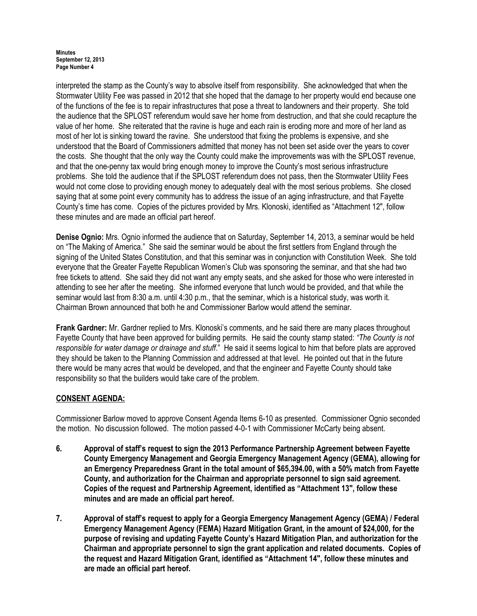interpreted the stamp as the County's way to absolve itself from responsibility. She acknowledged that when the Stormwater Utility Fee was passed in 2012 that she hoped that the damage to her property would end because one of the functions of the fee is to repair infrastructures that pose a threat to landowners and their property. She told the audience that the SPLOST referendum would save her home from destruction, and that she could recapture the value of her home. She reiterated that the ravine is huge and each rain is eroding more and more of her land as most of her lot is sinking toward the ravine. She understood that fixing the problems is expensive, and she understood that the Board of Commissioners admitted that money has not been set aside over the years to cover the costs. She thought that the only way the County could make the improvements was with the SPLOST revenue, and that the one-penny tax would bring enough money to improve the County's most serious infrastructure problems. She told the audience that if the SPLOST referendum does not pass, then the Stormwater Utility Fees would not come close to providing enough money to adequately deal with the most serious problems. She closed saying that at some point every community has to address the issue of an aging infrastructure, and that Fayette County's time has come. Copies of the pictures provided by Mrs. Klonoski, identified as "Attachment 12", follow these minutes and are made an official part hereof.

Denise Ognio: Mrs. Ognio informed the audience that on Saturday, September 14, 2013, a seminar would be held on "The Making of America." She said the seminar would be about the first settlers from England through the signing of the United States Constitution, and that this seminar was in conjunction with Constitution Week. She told everyone that the Greater Fayette Republican Women's Club was sponsoring the seminar, and that she had two free tickets to attend. She said they did not want any empty seats, and she asked for those who were interested in attending to see her after the meeting. She informed everyone that lunch would be provided, and that while the seminar would last from 8:30 a.m. until 4:30 p.m., that the seminar, which is a historical study, was worth it. Chairman Brown announced that both he and Commissioner Barlow would attend the seminar.

Frank Gardner: Mr. Gardner replied to Mrs. Klonoski's comments, and he said there are many places throughout Fayette County that have been approved for building permits. He said the county stamp stated: "The County is not responsible for water damage or drainage and stuff." He said it seems logical to him that before plats are approved they should be taken to the Planning Commission and addressed at that level. He pointed out that in the future there would be many acres that would be developed, and that the engineer and Fayette County should take responsibility so that the builders would take care of the problem.

# CONSENT AGENDA:

Commissioner Barlow moved to approve Consent Agenda Items 6-10 as presented. Commissioner Ognio seconded the motion. No discussion followed. The motion passed 4-0-1 with Commissioner McCarty being absent.

- 6. Approval of staff's request to sign the 2013 Performance Partnership Agreement between Fayette County Emergency Management and Georgia Emergency Management Agency (GEMA), allowing for an Emergency Preparedness Grant in the total amount of \$65,394.00, with a 50% match from Fayette County, and authorization for the Chairman and appropriate personnel to sign said agreement. Copies of the request and Partnership Agreement, identified as "Attachment 13", follow these minutes and are made an official part hereof.
- 7. Approval of staff's request to apply for a Georgia Emergency Management Agency (GEMA) / Federal Emergency Management Agency (FEMA) Hazard Mitigation Grant, in the amount of \$24,000, for the purpose of revising and updating Fayette County's Hazard Mitigation Plan, and authorization for the Chairman and appropriate personnel to sign the grant application and related documents. Copies of the request and Hazard Mitigation Grant, identified as "Attachment 14", follow these minutes and are made an official part hereof.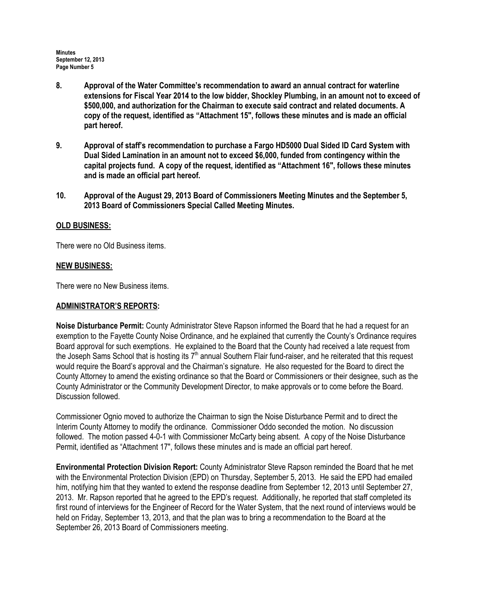- 8. Approval of the Water Committee's recommendation to award an annual contract for waterline extensions for Fiscal Year 2014 to the low bidder, Shockley Plumbing, in an amount not to exceed of \$500,000, and authorization for the Chairman to execute said contract and related documents. A copy of the request, identified as "Attachment 15", follows these minutes and is made an official part hereof.
- 9. Approval of staff's recommendation to purchase a Fargo HD5000 Dual Sided ID Card System with Dual Sided Lamination in an amount not to exceed \$6,000, funded from contingency within the capital projects fund. A copy of the request, identified as "Attachment 16", follows these minutes and is made an official part hereof.
- 10. Approval of the August 29, 2013 Board of Commissioners Meeting Minutes and the September 5, 2013 Board of Commissioners Special Called Meeting Minutes.

# OLD BUSINESS:

There were no Old Business items.

### NEW BUSINESS:

There were no New Business items.

## ADMINISTRATOR'S REPORTS:

Noise Disturbance Permit: County Administrator Steve Rapson informed the Board that he had a request for an exemption to the Fayette County Noise Ordinance, and he explained that currently the County's Ordinance requires Board approval for such exemptions. He explained to the Board that the County had received a late request from the Joseph Sams School that is hosting its  $7<sup>th</sup>$  annual Southern Flair fund-raiser, and he reiterated that this request would require the Board's approval and the Chairman's signature. He also requested for the Board to direct the County Attorney to amend the existing ordinance so that the Board or Commissioners or their designee, such as the County Administrator or the Community Development Director, to make approvals or to come before the Board. Discussion followed.

Commissioner Ognio moved to authorize the Chairman to sign the Noise Disturbance Permit and to direct the Interim County Attorney to modify the ordinance. Commissioner Oddo seconded the motion. No discussion followed. The motion passed 4-0-1 with Commissioner McCarty being absent. A copy of the Noise Disturbance Permit, identified as "Attachment 17", follows these minutes and is made an official part hereof.

Environmental Protection Division Report: County Administrator Steve Rapson reminded the Board that he met with the Environmental Protection Division (EPD) on Thursday, September 5, 2013. He said the EPD had emailed him, notifying him that they wanted to extend the response deadline from September 12, 2013 until September 27, 2013. Mr. Rapson reported that he agreed to the EPD's request. Additionally, he reported that staff completed its first round of interviews for the Engineer of Record for the Water System, that the next round of interviews would be held on Friday, September 13, 2013, and that the plan was to bring a recommendation to the Board at the September 26, 2013 Board of Commissioners meeting.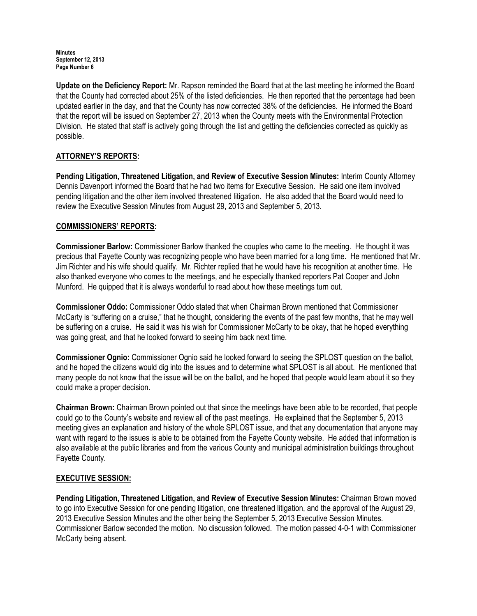Update on the Deficiency Report: Mr. Rapson reminded the Board that at the last meeting he informed the Board that the County had corrected about 25% of the listed deficiencies. He then reported that the percentage had been updated earlier in the day, and that the County has now corrected 38% of the deficiencies. He informed the Board that the report will be issued on September 27, 2013 when the County meets with the Environmental Protection Division. He stated that staff is actively going through the list and getting the deficiencies corrected as quickly as possible.

# ATTORNEY'S REPORTS:

Pending Litigation, Threatened Litigation, and Review of Executive Session Minutes: Interim County Attorney Dennis Davenport informed the Board that he had two items for Executive Session. He said one item involved pending litigation and the other item involved threatened litigation. He also added that the Board would need to review the Executive Session Minutes from August 29, 2013 and September 5, 2013.

# COMMISSIONERS' REPORTS:

Commissioner Barlow: Commissioner Barlow thanked the couples who came to the meeting. He thought it was precious that Fayette County was recognizing people who have been married for a long time. He mentioned that Mr. Jim Richter and his wife should qualify. Mr. Richter replied that he would have his recognition at another time. He also thanked everyone who comes to the meetings, and he especially thanked reporters Pat Cooper and John Munford. He quipped that it is always wonderful to read about how these meetings turn out.

Commissioner Oddo: Commissioner Oddo stated that when Chairman Brown mentioned that Commissioner McCarty is "suffering on a cruise," that he thought, considering the events of the past few months, that he may well be suffering on a cruise. He said it was his wish for Commissioner McCarty to be okay, that he hoped everything was going great, and that he looked forward to seeing him back next time.

Commissioner Ognio: Commissioner Ognio said he looked forward to seeing the SPLOST question on the ballot, and he hoped the citizens would dig into the issues and to determine what SPLOST is all about. He mentioned that many people do not know that the issue will be on the ballot, and he hoped that people would learn about it so they could make a proper decision.

Chairman Brown: Chairman Brown pointed out that since the meetings have been able to be recorded, that people could go to the County's website and review all of the past meetings. He explained that the September 5, 2013 meeting gives an explanation and history of the whole SPLOST issue, and that any documentation that anyone may want with regard to the issues is able to be obtained from the Fayette County website. He added that information is also available at the public libraries and from the various County and municipal administration buildings throughout Fayette County.

# EXECUTIVE SESSION:

Pending Litigation, Threatened Litigation, and Review of Executive Session Minutes: Chairman Brown moved to go into Executive Session for one pending litigation, one threatened litigation, and the approval of the August 29, 2013 Executive Session Minutes and the other being the September 5, 2013 Executive Session Minutes. Commissioner Barlow seconded the motion. No discussion followed. The motion passed 4-0-1 with Commissioner McCarty being absent.